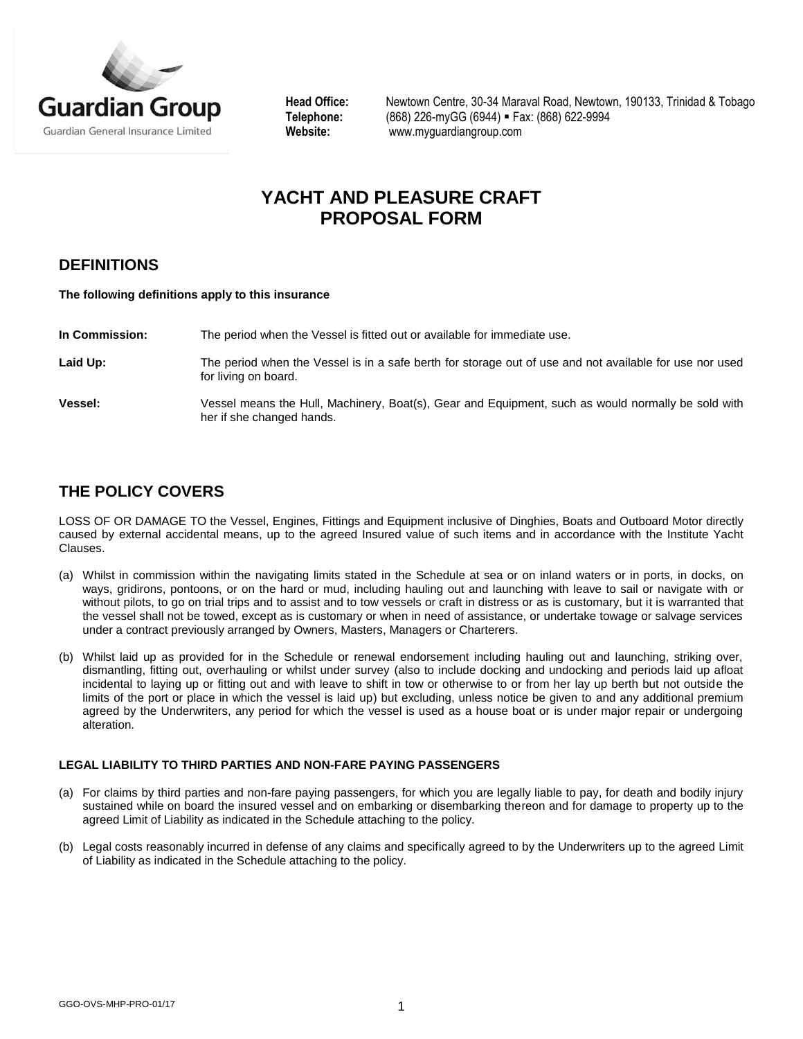

Head Office: Newtown Centre, 30-34 Maraval Road, Newtown, 190133, Trinidad & Tobago<br>Telephone: (868) 226-myGG (6944) = Fax: (868) 622-9994 **Telephone:** (868) 226-myGG (6944) Fax: (868) 622-9994 **Website:** [www.myguardiangroup.com](http://www.myguardiangroup.com/)

# **YACHT AND PLEASURE CRAFT PROPOSAL FORM**

## **DEFINITIONS**

#### **The following definitions apply to this insurance**

**In Commission:** The period when the Vessel is fitted out or available for immediate use.

Laid Up: The period when the Vessel is in a safe berth for storage out of use and not available for use nor used for living on board.

**Vessel:** Vessel means the Hull, Machinery, Boat(s), Gear and Equipment, such as would normally be sold with her if she changed hands.

### **THE POLICY COVERS**

LOSS OF OR DAMAGE TO the Vessel, Engines, Fittings and Equipment inclusive of Dinghies, Boats and Outboard Motor directly caused by external accidental means, up to the agreed Insured value of such items and in accordance with the Institute Yacht Clauses.

- (a) Whilst in commission within the navigating limits stated in the Schedule at sea or on inland waters or in ports, in docks, on ways, gridirons, pontoons, or on the hard or mud, including hauling out and launching with leave to sail or navigate with or without pilots, to go on trial trips and to assist and to tow vessels or craft in distress or as is customary, but it is warranted that the vessel shall not be towed, except as is customary or when in need of assistance, or undertake towage or salvage services under a contract previously arranged by Owners, Masters, Managers or Charterers.
- (b) Whilst laid up as provided for in the Schedule or renewal endorsement including hauling out and launching, striking over, dismantling, fitting out, overhauling or whilst under survey (also to include docking and undocking and periods laid up afloat incidental to laying up or fitting out and with leave to shift in tow or otherwise to or from her lay up berth but not outside the limits of the port or place in which the vessel is laid up) but excluding, unless notice be given to and any additional premium agreed by the Underwriters, any period for which the vessel is used as a house boat or is under major repair or undergoing alteration.

### **LEGAL LIABILITY TO THIRD PARTIES AND NON-FARE PAYING PASSENGERS**

- (a) For claims by third parties and non-fare paying passengers, for which you are legally liable to pay, for death and bodily injury sustained while on board the insured vessel and on embarking or disembarking thereon and for damage to property up to the agreed Limit of Liability as indicated in the Schedule attaching to the policy.
- (b) Legal costs reasonably incurred in defense of any claims and specifically agreed to by the Underwriters up to the agreed Limit of Liability as indicated in the Schedule attaching to the policy.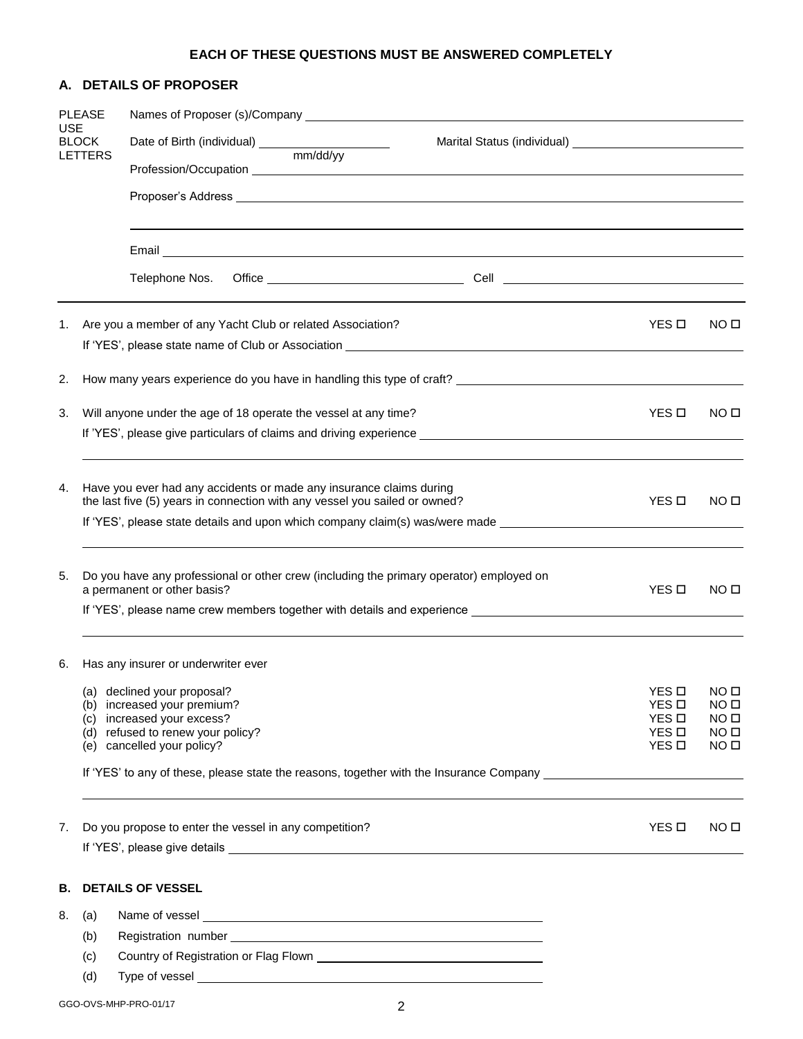### **EACH OF THESE QUESTIONS MUST BE ANSWERED COMPLETELY**

|                                |               | A. DETAILS OF PROPOSER                                                                                                                                                                                                               |                                                                                                                |                       |                                      |  |  |  |  |  |  |  |  |
|--------------------------------|---------------|--------------------------------------------------------------------------------------------------------------------------------------------------------------------------------------------------------------------------------------|----------------------------------------------------------------------------------------------------------------|-----------------------|--------------------------------------|--|--|--|--|--|--|--|--|
| <b>USE</b>                     | <b>PLEASE</b> |                                                                                                                                                                                                                                      |                                                                                                                |                       |                                      |  |  |  |  |  |  |  |  |
| <b>BLOCK</b><br><b>LETTERS</b> |               |                                                                                                                                                                                                                                      |                                                                                                                |                       |                                      |  |  |  |  |  |  |  |  |
|                                |               |                                                                                                                                                                                                                                      |                                                                                                                |                       |                                      |  |  |  |  |  |  |  |  |
|                                |               | Proposer's Address <b>Contract Contract Contract Contract Contract Contract Contract Contract Contract Contract Contract Contract Contract Contract Contract Contract Contract Contract Contract Contract Contract Contract Cont</b> |                                                                                                                |                       |                                      |  |  |  |  |  |  |  |  |
|                                |               |                                                                                                                                                                                                                                      |                                                                                                                |                       |                                      |  |  |  |  |  |  |  |  |
|                                |               | Telephone Nos.                                                                                                                                                                                                                       |                                                                                                                |                       |                                      |  |  |  |  |  |  |  |  |
| 1.                             |               | Are you a member of any Yacht Club or related Association?                                                                                                                                                                           |                                                                                                                | YES <b>D</b>          | NO <sub>II</sub>                     |  |  |  |  |  |  |  |  |
|                                |               |                                                                                                                                                                                                                                      |                                                                                                                |                       |                                      |  |  |  |  |  |  |  |  |
| 2.                             |               |                                                                                                                                                                                                                                      |                                                                                                                |                       |                                      |  |  |  |  |  |  |  |  |
| 3.                             |               | Will anyone under the age of 18 operate the vessel at any time?                                                                                                                                                                      |                                                                                                                | YES <b>D</b>          | NO <sub>II</sub>                     |  |  |  |  |  |  |  |  |
|                                |               |                                                                                                                                                                                                                                      |                                                                                                                |                       |                                      |  |  |  |  |  |  |  |  |
| 4.                             |               | Have you ever had any accidents or made any insurance claims during<br>the last five (5) years in connection with any vessel you sailed or owned?                                                                                    |                                                                                                                | YES <b>D</b>          | NO <sub>II</sub>                     |  |  |  |  |  |  |  |  |
|                                |               |                                                                                                                                                                                                                                      | If 'YES', please state details and upon which company claim(s) was/were made _________________________________ |                       |                                      |  |  |  |  |  |  |  |  |
| 5.                             |               | Do you have any professional or other crew (including the primary operator) employed on<br>a permanent or other basis?                                                                                                               |                                                                                                                | YES <b>D</b>          | NO <sub>II</sub>                     |  |  |  |  |  |  |  |  |
|                                |               |                                                                                                                                                                                                                                      |                                                                                                                |                       |                                      |  |  |  |  |  |  |  |  |
| 6.                             |               | Has any insurer or underwriter ever                                                                                                                                                                                                  |                                                                                                                |                       |                                      |  |  |  |  |  |  |  |  |
|                                |               | (a) declined your proposal?                                                                                                                                                                                                          |                                                                                                                | YES <sub>D</sub>      | NO <sub>II</sub>                     |  |  |  |  |  |  |  |  |
|                                |               | (b) increased your premium?<br>(c) increased your excess?                                                                                                                                                                            |                                                                                                                | YES <b>D</b><br>YES O | NO <sub>II</sub><br>NO <sub>II</sub> |  |  |  |  |  |  |  |  |
|                                |               | (d) refused to renew your policy?<br>(e) cancelled your policy?                                                                                                                                                                      |                                                                                                                | YES D<br>YES <b>D</b> | NO <sub>II</sub><br>NO <sub>II</sub> |  |  |  |  |  |  |  |  |
|                                |               | If 'YES' to any of these, please state the reasons, together with the Insurance Company ______________________                                                                                                                       |                                                                                                                |                       |                                      |  |  |  |  |  |  |  |  |
|                                |               |                                                                                                                                                                                                                                      |                                                                                                                |                       |                                      |  |  |  |  |  |  |  |  |
| 7.                             |               | Do you propose to enter the vessel in any competition?                                                                                                                                                                               |                                                                                                                | YES <b>D</b>          | NO <sub>II</sub>                     |  |  |  |  |  |  |  |  |
|                                |               |                                                                                                                                                                                                                                      |                                                                                                                |                       |                                      |  |  |  |  |  |  |  |  |
| В.                             |               | <b>DETAILS OF VESSEL</b>                                                                                                                                                                                                             |                                                                                                                |                       |                                      |  |  |  |  |  |  |  |  |
| 8.                             | (a)           |                                                                                                                                                                                                                                      |                                                                                                                |                       |                                      |  |  |  |  |  |  |  |  |
|                                | (b)           |                                                                                                                                                                                                                                      |                                                                                                                |                       |                                      |  |  |  |  |  |  |  |  |
|                                | (c)           |                                                                                                                                                                                                                                      |                                                                                                                |                       |                                      |  |  |  |  |  |  |  |  |
|                                | (d)           |                                                                                                                                                                                                                                      |                                                                                                                |                       |                                      |  |  |  |  |  |  |  |  |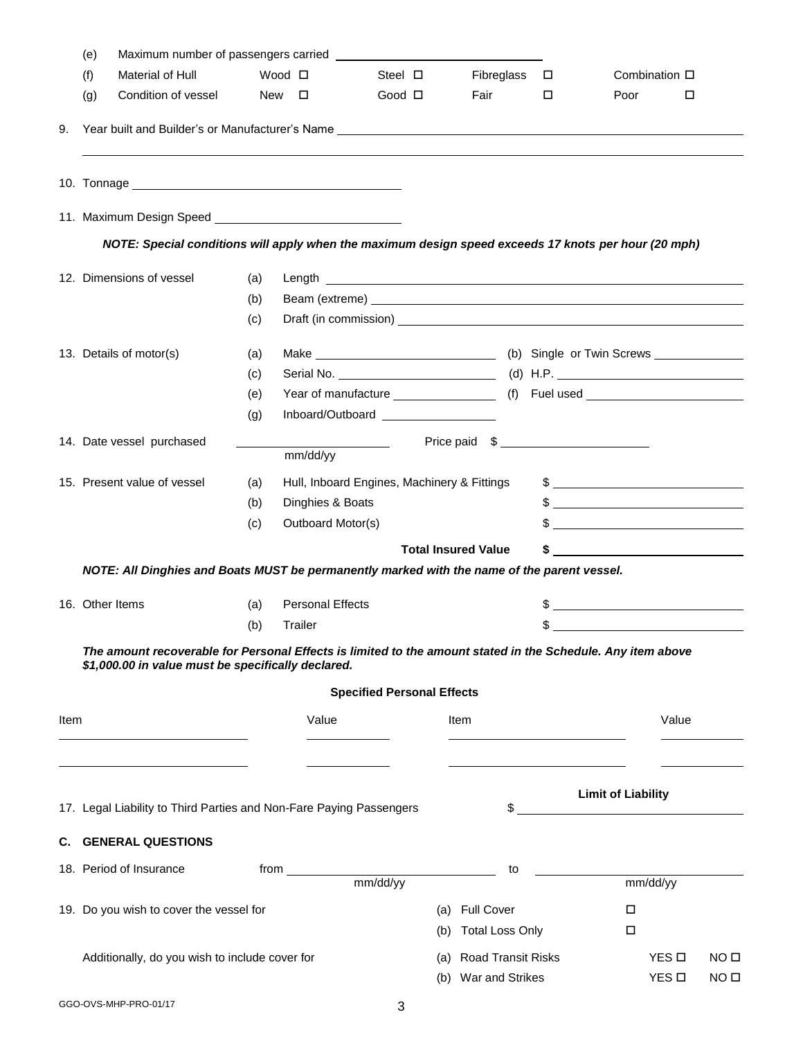|      | (e) |                                                                                                                                                                   |                 |                         |                                             |                            |                           |               |                           |        |                  |
|------|-----|-------------------------------------------------------------------------------------------------------------------------------------------------------------------|-----------------|-------------------------|---------------------------------------------|----------------------------|---------------------------|---------------|---------------------------|--------|------------------|
|      | (f) | Material of Hull                                                                                                                                                  | Wood □          |                         | Steel $\square$                             |                            | Fibreglass $\square$      |               | Combination $\square$     |        |                  |
|      | (g) | Condition of vessel                                                                                                                                               | $New$ $\square$ |                         | Good <b>O</b>                               | Fair                       |                           | $\Box$        | Poor                      | $\Box$ |                  |
|      |     |                                                                                                                                                                   |                 |                         |                                             |                            |                           |               |                           |        |                  |
|      |     |                                                                                                                                                                   |                 |                         |                                             |                            |                           |               |                           |        |                  |
|      |     |                                                                                                                                                                   |                 |                         |                                             |                            |                           |               |                           |        |                  |
|      |     | NOTE: Special conditions will apply when the maximum design speed exceeds 17 knots per hour (20 mph)                                                              |                 |                         |                                             |                            |                           |               |                           |        |                  |
|      |     | 12. Dimensions of vessel                                                                                                                                          | (a)             |                         |                                             |                            |                           |               |                           |        |                  |
|      |     |                                                                                                                                                                   | (b)             |                         |                                             |                            |                           |               |                           |        |                  |
|      |     |                                                                                                                                                                   | (c)             |                         |                                             |                            |                           |               |                           |        |                  |
|      |     | 13. Details of motor(s)                                                                                                                                           | (a)             |                         |                                             |                            |                           |               |                           |        |                  |
|      |     |                                                                                                                                                                   | (c)             |                         |                                             |                            |                           |               |                           |        |                  |
|      |     |                                                                                                                                                                   | (e)             |                         |                                             |                            |                           |               |                           |        |                  |
|      |     |                                                                                                                                                                   | (g)             |                         | Inboard/Outboard __________________         |                            |                           |               |                           |        |                  |
|      |     | 14. Date vessel purchased                                                                                                                                         |                 | mm/dd/yy                |                                             |                            |                           | Price paid \$ |                           |        |                  |
|      |     | 15. Present value of vessel                                                                                                                                       | (a)             |                         | Hull, Inboard Engines, Machinery & Fittings |                            |                           |               |                           |        |                  |
|      |     |                                                                                                                                                                   | (b)             | Dinghies & Boats        |                                             |                            |                           |               |                           |        |                  |
|      |     |                                                                                                                                                                   | (c)             | Outboard Motor(s)       |                                             |                            |                           |               |                           |        |                  |
|      |     |                                                                                                                                                                   |                 |                         |                                             | <b>Total Insured Value</b> |                           |               |                           |        |                  |
|      |     | NOTE: All Dinghies and Boats MUST be permanently marked with the name of the parent vessel.                                                                       |                 |                         |                                             |                            |                           |               |                           |        |                  |
|      |     | 16. Other Items                                                                                                                                                   | (a)             | <b>Personal Effects</b> |                                             |                            |                           |               |                           |        |                  |
|      |     |                                                                                                                                                                   | (b)             | Trailer                 |                                             |                            |                           |               |                           |        |                  |
|      |     | The amount recoverable for Personal Effects is limited to the amount stated in the Schedule. Any item above<br>\$1,000.00 in value must be specifically declared. |                 |                         | <b>Specified Personal Effects</b>           |                            |                           |               |                           |        |                  |
| Item |     |                                                                                                                                                                   |                 | Value                   |                                             | Item                       |                           |               |                           | Value  |                  |
|      |     |                                                                                                                                                                   |                 |                         |                                             |                            |                           |               |                           |        |                  |
|      |     |                                                                                                                                                                   |                 |                         |                                             |                            |                           |               | <b>Limit of Liability</b> |        |                  |
|      |     | 17. Legal Liability to Third Parties and Non-Fare Paying Passengers                                                                                               |                 |                         |                                             |                            |                           |               |                           |        |                  |
|      |     | <b>C. GENERAL QUESTIONS</b>                                                                                                                                       |                 |                         |                                             |                            |                           |               |                           |        |                  |
|      |     | 18. Period of Insurance                                                                                                                                           | from $\_\_$     |                         | mm/dd/yy                                    |                            | to                        |               | mm/dd/yy                  |        |                  |
|      |     | 19. Do you wish to cover the vessel for                                                                                                                           |                 |                         |                                             | (a) Full Cover             |                           |               | $\Box$                    |        |                  |
|      |     |                                                                                                                                                                   |                 |                         |                                             | (b)                        | <b>Total Loss Only</b>    |               | $\Box$                    |        |                  |
|      |     | Additionally, do you wish to include cover for                                                                                                                    |                 |                         |                                             | (a)                        | <b>Road Transit Risks</b> |               | YES <b>□</b>              |        | NO <sub>II</sub> |
|      |     |                                                                                                                                                                   |                 |                         |                                             | (b) War and Strikes        |                           |               | YES <b>D</b>              |        | NO <sub>II</sub> |
|      |     |                                                                                                                                                                   |                 |                         |                                             |                            |                           |               |                           |        |                  |